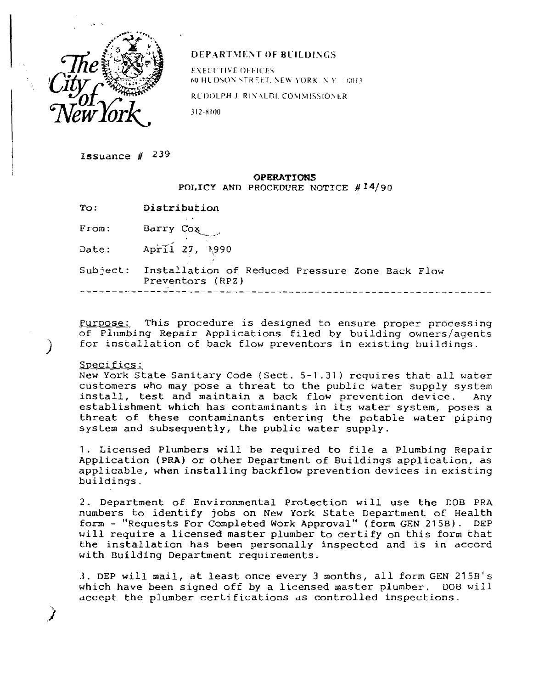

## DEPARTMENT OF BUILDINGS

EXECUTIVE OFFICES 60 HUDSON STREET. NEW YORK. N Y. 100f3.

RUDOLPH J. RINALDI, COMMISSIONER

312-81W

Issuance # 229

## **OPERATIONS**  POLICY AND PROCEDURE NOTICE #14/90

| Distribution<br>To: |  |
|---------------------|--|
|---------------------|--|

From: Barry Cox

Date: April 27, 1990

Subject: Installation of Reduced Pressure Zone Back Flow Preventors (RPZ)

Purpose: This procedure is designed to ensure proper processing of Plumbing Repair Applications filed by building owners/agents for installation of back flow preventors in existing buildings.

## Specifics:

New York State Sanitary Code (Sect. 5-1.31) requires that all water customers who may pose a threat to the public water supply system install, test and maintain a back flow prevention device. Any establishment which has contaminants in its water system, poses a threat of these contaminants entering the potable water piping system and subsequently, the public water supply.

1. Licensed Plumbers will be required to file a Plumbing Repair Application (PRA) or other Department of Buildings application, as applicable, when installing backflow prevention devices in existing buildings.

2. Department of Environmental Protection will use the DOB PRA numbers to identify jobs on New York State Department of Health form - "Requests For Completed Work Approval" (form GEN 215B). DEP will require a licensed master plumber to certify on this form that the installation has been personally inspected and is in accord with Building Department requirements.

3. DEP will mail, at least once every 3 months, all form GEN 215B's which have been signed off by a licensed master plumber. DOB will accept the plumber certifications as controlled inspections.